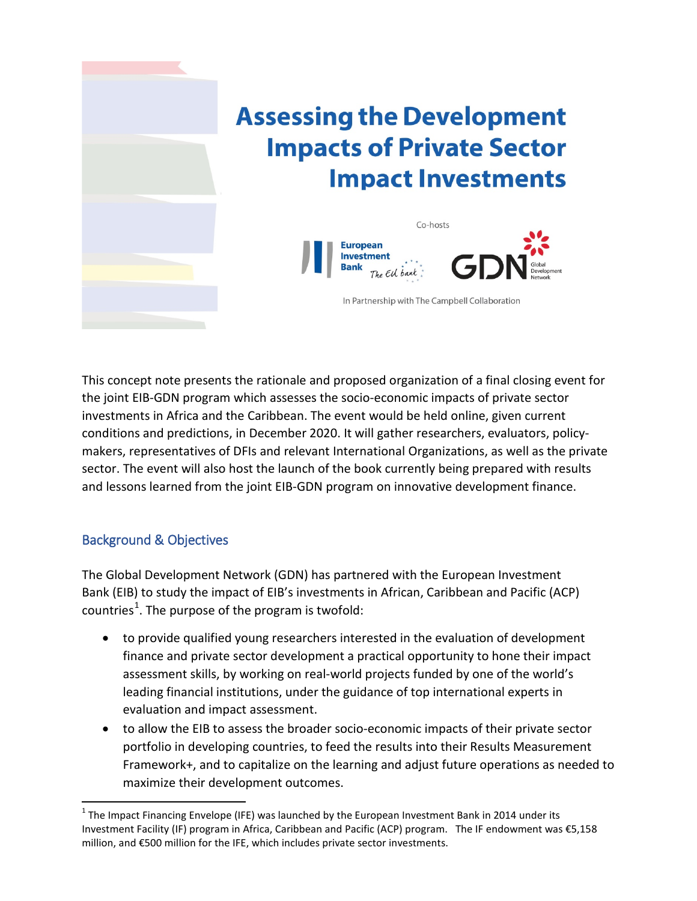

This concept note presents the rationale and proposed organization of a final closing event for the joint EIB-GDN program which assesses the socio-economic impacts of private sector investments in Africa and the Caribbean. The event would be held online, given current conditions and predictions, in December 2020. It will gather researchers, evaluators, policymakers, representatives of DFIs and relevant International Organizations, as well as the private sector. The event will also host the launch of the book currently being prepared with results and lessons learned from the joint EIB-GDN program on innovative development finance.

## Background & Objectives

The Global Development Network (GDN) has partnered with the European Investment Bank (EIB) to study the impact of EIB's investments in African, Caribbean and Pacific (ACP) countries<sup>[1](#page-0-0)</sup>. The purpose of the program is twofold:

- to provide qualified young researchers interested in the evaluation of development finance and private sector development a practical opportunity to hone their impact assessment skills, by working on real-world projects funded by one of the world's leading financial institutions, under the guidance of top international experts in evaluation and impact assessment.
- to allow the EIB to assess the broader socio-economic impacts of their private sector portfolio in developing countries, to feed the results into their Results Measurement Framework+, and to capitalize on the learning and adjust future operations as needed to maximize their development outcomes.

<span id="page-0-0"></span> $1$  The Impact Financing Envelope (IFE) was launched by the European Investment Bank in 2014 under its Investment Facility (IF) program in Africa, Caribbean and Pacific (ACP) program. The IF endowment was €5,158 million, and €500 million for the IFE, which includes private sector investments.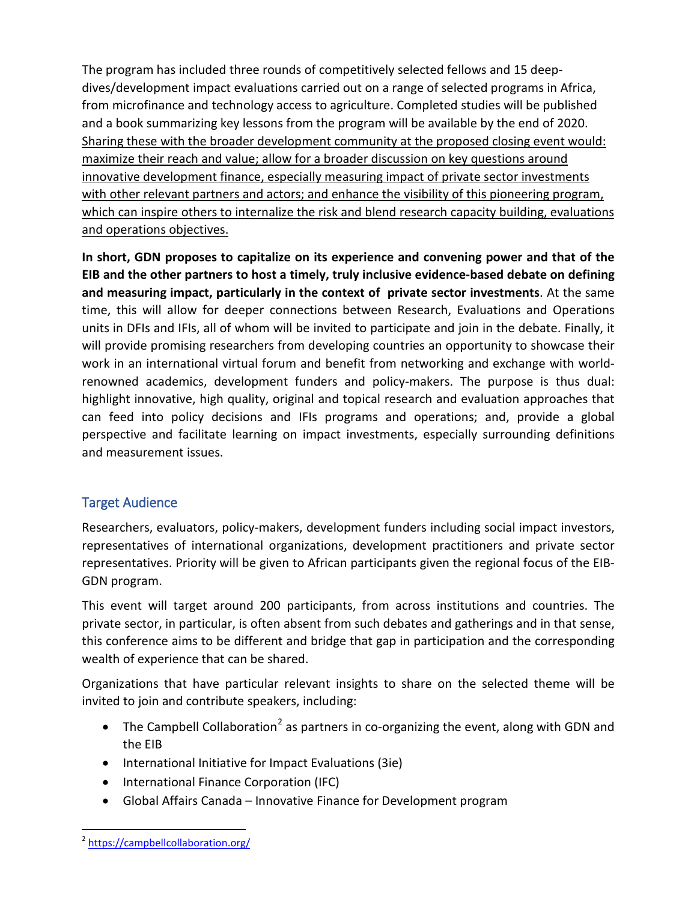The program has included three rounds of competitively selected fellows and 15 deepdives/development impact evaluations carried out on a range of selected programs in Africa, from microfinance and technology access to agriculture. Completed studies will be published and a book summarizing key lessons from the program will be available by the end of 2020. Sharing these with the broader development community at the proposed closing event would: maximize their reach and value; allow for a broader discussion on key questions around innovative development finance, especially measuring impact of private sector investments with other relevant partners and actors; and enhance the visibility of this pioneering program, which can inspire others to internalize the risk and blend research capacity building, evaluations and operations objectives.

**In short, GDN proposes to capitalize on its experience and convening power and that of the EIB and the other partners to host a timely, truly inclusive evidence-based debate on defining and measuring impact, particularly in the context of private sector investments**. At the same time, this will allow for deeper connections between Research, Evaluations and Operations units in DFIs and IFIs, all of whom will be invited to participate and join in the debate. Finally, it will provide promising researchers from developing countries an opportunity to showcase their work in an international virtual forum and benefit from networking and exchange with worldrenowned academics, development funders and policy-makers. The purpose is thus dual: highlight innovative, high quality, original and topical research and evaluation approaches that can feed into policy decisions and IFIs programs and operations; and, provide a global perspective and facilitate learning on impact investments, especially surrounding definitions and measurement issues.

## Target Audience

Researchers, evaluators, policy-makers, development funders including social impact investors, representatives of international organizations, development practitioners and private sector representatives. Priority will be given to African participants given the regional focus of the EIB-GDN program.

This event will target around 200 participants, from across institutions and countries. The private sector, in particular, is often absent from such debates and gatherings and in that sense, this conference aims to be different and bridge that gap in participation and the corresponding wealth of experience that can be shared.

Organizations that have particular relevant insights to share on the selected theme will be invited to join and contribute speakers, including:

- The Campbell Collaboration<sup>[2](#page-1-0)</sup> as partners in co-organizing the event, along with GDN and the EIB
- International Initiative for Impact Evaluations (3ie)
- International Finance Corporation (IFC)
- Global Affairs Canada Innovative Finance for Development program

<span id="page-1-0"></span><sup>&</sup>lt;sup>2</sup> <https://campbellcollaboration.org/>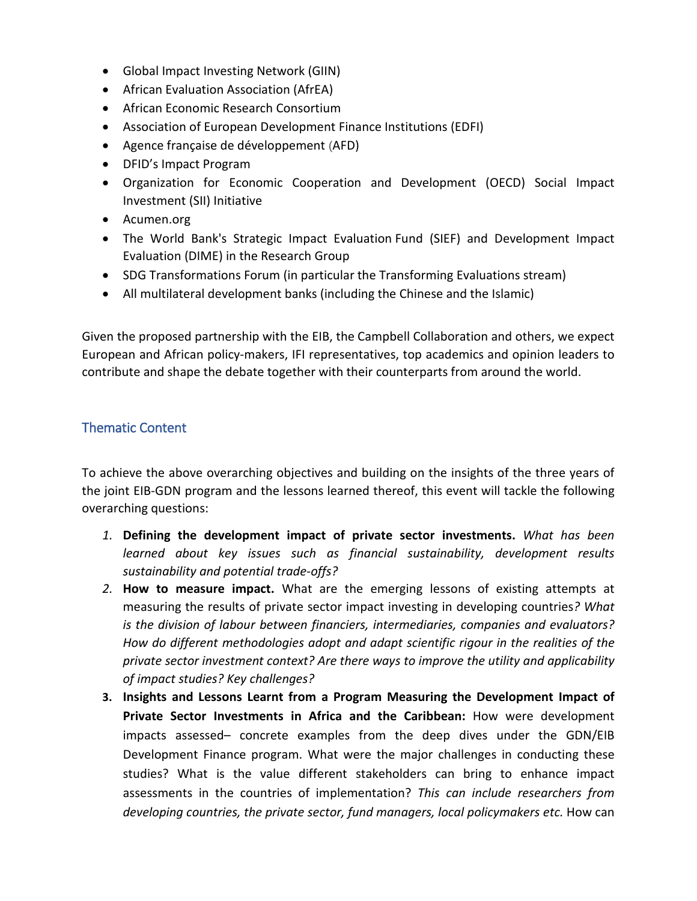- Global Impact Investing Network (GIIN)
- African Evaluation Association (AfrEA)
- African Economic Research Consortium
- Association of European Development Finance Institutions (EDFI)
- Agence française de développement (AFD)
- DFID's Impact Program
- Organization for Economic Cooperation and Development (OECD) Social Impact Investment (SII) Initiative
- Acumen.org
- The World Bank's Strategic Impact Evaluation Fund (SIEF) and Development Impact Evaluation (DIME) in the Research Group
- SDG Transformations Forum (in particular the Transforming Evaluations stream)
- All multilateral development banks (including the Chinese and the Islamic)

Given the proposed partnership with the EIB, the Campbell Collaboration and others, we expect European and African policy-makers, IFI representatives, top academics and opinion leaders to contribute and shape the debate together with their counterparts from around the world.

## Thematic Content

To achieve the above overarching objectives and building on the insights of the three years of the joint EIB-GDN program and the lessons learned thereof, this event will tackle the following overarching questions:

- *1.* **Defining the development impact of private sector investments.** *What has been learned about key issues such as financial sustainability, development results sustainability and potential trade-offs?*
- *2.* **How to measure impact.** What are the emerging lessons of existing attempts at measuring the results of private sector impact investing in developing countries*? What is the division of labour between financiers, intermediaries, companies and evaluators? How do different methodologies adopt and adapt scientific rigour in the realities of the private sector investment context? Are there ways to improve the utility and applicability of impact studies? Key challenges?*
- **3. Insights and Lessons Learnt from a Program Measuring the Development Impact of Private Sector Investments in Africa and the Caribbean:** How were development impacts assessed– concrete examples from the deep dives under the GDN/EIB Development Finance program. What were the major challenges in conducting these studies? What is the value different stakeholders can bring to enhance impact assessments in the countries of implementation? *This can include researchers from*  developing countries, the private sector, fund managers, local policymakers etc. How can